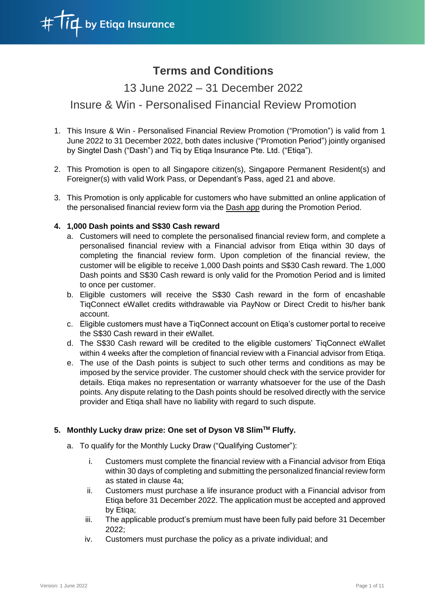

# **Terms and Conditions**

13 June 2022 – 31 December 2022

## Insure & Win - Personalised Financial Review Promotion

- 1. This Insure & Win Personalised Financial Review Promotion ("Promotion") is valid from 1 June 2022 to 31 December 2022, both dates inclusive ("Promotion Period") jointly organised by Singtel Dash ("Dash") and Tiq by Etiqa Insurance Pte. Ltd. ("Etiqa").
- 2. This Promotion is open to all Singapore citizen(s), Singapore Permanent Resident(s) and Foreigner(s) with valid Work Pass, or Dependant's Pass, aged 21 and above.
- 3. This Promotion is only applicable for customers who have submitted an online application of the personalised financial review form via the Dash app during the Promotion Period.

#### **4. 1,000 Dash points and S\$30 Cash reward**

- a. Customers will need to complete the personalised financial review form, and complete a personalised financial review with a Financial advisor from Etiqa within 30 days of completing the financial review form. Upon completion of the financial review, the customer will be eligible to receive 1,000 Dash points and S\$30 Cash reward. The 1,000 Dash points and S\$30 Cash reward is only valid for the Promotion Period and is limited to once per customer.
- b. Eligible customers will receive the S\$30 Cash reward in the form of encashable TiqConnect eWallet credits withdrawable via PayNow or Direct Credit to his/her bank account.
- c. Eligible customers must have a TiqConnect account on Etiqa's customer portal to receive the S\$30 Cash reward in their eWallet.
- d. The S\$30 Cash reward will be credited to the eligible customers' TiqConnect eWallet within 4 weeks after the completion of financial review with a Financial advisor from Etiqa.
- e. The use of the Dash points is subject to such other terms and conditions as may be imposed by the service provider. The customer should check with the service provider for details. Etiqa makes no representation or warranty whatsoever for the use of the Dash points. Any dispute relating to the Dash points should be resolved directly with the service provider and Etiqa shall have no liability with regard to such dispute.

### **5. Monthly Lucky draw prize: One set of Dyson V8 SlimTM Fluffy.**

- a. To qualify for the Monthly Lucky Draw ("Qualifying Customer"):
	- i. Customers must complete the financial review with a Financial advisor from Etiqa within 30 days of completing and submitting the personalized financial review form as stated in clause 4a;
	- ii. Customers must purchase a life insurance product with a Financial advisor from Etiqa before 31 December 2022. The application must be accepted and approved by Etiqa;
	- iii. The applicable product's premium must have been fully paid before 31 December 2022;
	- iv. Customers must purchase the policy as a private individual; and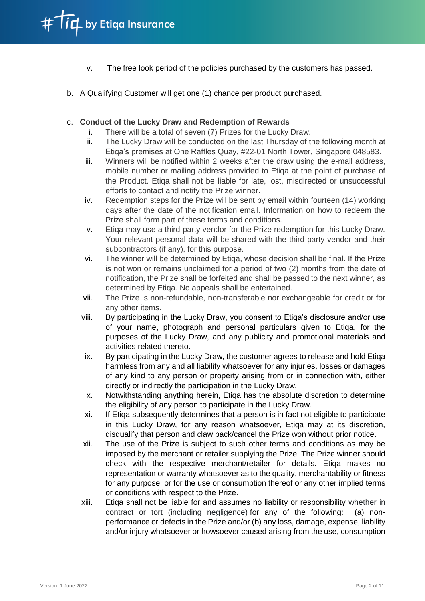- v. The free look period of the policies purchased by the customers has passed.
- b. A Qualifying Customer will get one (1) chance per product purchased.

#### c. **Conduct of the Lucky Draw and Redemption of Rewards**

- i. There will be a total of seven (7) Prizes for the Lucky Draw.
- ii. The Lucky Draw will be conducted on the last Thursday of the following month at Etiqa's premises at One Raffles Quay, #22-01 North Tower, Singapore 048583.
- iii. Winners will be notified within 2 weeks after the draw using the e-mail address, mobile number or mailing address provided to Etiqa at the point of purchase of the Product. Etiqa shall not be liable for late, lost, misdirected or unsuccessful efforts to contact and notify the Prize winner.
- iv. Redemption steps for the Prize will be sent by email within fourteen (14) working days after the date of the notification email. Information on how to redeem the Prize shall form part of these terms and conditions.
- v. Etiqa may use a third-party vendor for the Prize redemption for this Lucky Draw. Your relevant personal data will be shared with the third-party vendor and their subcontractors (if any), for this purpose.
- vi. The winner will be determined by Etiqa, whose decision shall be final. If the Prize is not won or remains unclaimed for a period of two (2) months from the date of notification, the Prize shall be forfeited and shall be passed to the next winner, as determined by Etiqa. No appeals shall be entertained.
- vii. The Prize is non-refundable, non-transferable nor exchangeable for credit or for any other items.
- viii. By participating in the Lucky Draw, you consent to Etiqa's disclosure and/or use of your name, photograph and personal particulars given to Etiqa, for the purposes of the Lucky Draw, and any publicity and promotional materials and activities related thereto.
- ix. By participating in the Lucky Draw, the customer agrees to release and hold Etiqa harmless from any and all liability whatsoever for any injuries, losses or damages of any kind to any person or property arising from or in connection with, either directly or indirectly the participation in the Lucky Draw.
- x. Notwithstanding anything herein, Etiqa has the absolute discretion to determine the eligibility of any person to participate in the Lucky Draw.
- xi. If Etiqa subsequently determines that a person is in fact not eligible to participate in this Lucky Draw, for any reason whatsoever, Etiqa may at its discretion, disqualify that person and claw back/cancel the Prize won without prior notice.
- xii. The use of the Prize is subject to such other terms and conditions as may be imposed by the merchant or retailer supplying the Prize. The Prize winner should check with the respective merchant/retailer for details. Etiqa makes no representation or warranty whatsoever as to the quality, merchantability or fitness for any purpose, or for the use or consumption thereof or any other implied terms or conditions with respect to the Prize.
- xiii. Etiqa shall not be liable for and assumes no liability or responsibility whether in contract or tort (including negligence) for any of the following: (a) nonperformance or defects in the Prize and/or (b) any loss, damage, expense, liability and/or injury whatsoever or howsoever caused arising from the use, consumption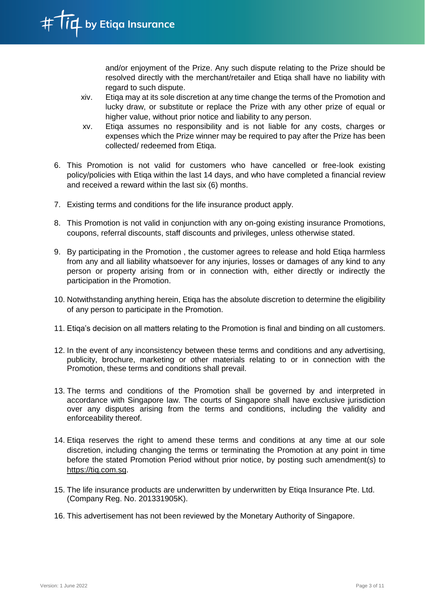and/or enjoyment of the Prize. Any such dispute relating to the Prize should be resolved directly with the merchant/retailer and Etiqa shall have no liability with regard to such dispute.

- xiv. Etiqa may at its sole discretion at any time change the terms of the Promotion and lucky draw, or substitute or replace the Prize with any other prize of equal or higher value, without prior notice and liability to any person.
- xv. Etiqa assumes no responsibility and is not liable for any costs, charges or expenses which the Prize winner may be required to pay after the Prize has been collected/ redeemed from Etiqa.
- 6. This Promotion is not valid for customers who have cancelled or free-look existing policy/policies with Etiqa within the last 14 days, and who have completed a financial review and received a reward within the last six (6) months.
- 7. Existing terms and conditions for the life insurance product apply.
- 8. This Promotion is not valid in conjunction with any on-going existing insurance Promotions, coupons, referral discounts, staff discounts and privileges, unless otherwise stated.
- 9. By participating in the Promotion , the customer agrees to release and hold Etiqa harmless from any and all liability whatsoever for any injuries, losses or damages of any kind to any person or property arising from or in connection with, either directly or indirectly the participation in the Promotion.
- 10. Notwithstanding anything herein, Etiqa has the absolute discretion to determine the eligibility of any person to participate in the Promotion.
- 11. Etiqa's decision on all matters relating to the Promotion is final and binding on all customers.
- 12. In the event of any inconsistency between these terms and conditions and any advertising, publicity, brochure, marketing or other materials relating to or in connection with the Promotion, these terms and conditions shall prevail.
- 13. The terms and conditions of the Promotion shall be governed by and interpreted in accordance with Singapore law. The courts of Singapore shall have exclusive jurisdiction over any disputes arising from the terms and conditions, including the validity and enforceability thereof.
- 14. Etiqa reserves the right to amend these terms and conditions at any time at our sole discretion, including changing the terms or terminating the Promotion at any point in time before the stated Promotion Period without prior notice, by posting such amendment(s) to [https://tiq.com.sg.](https://tiq.com.sg/)
- 15. The life insurance products are underwritten by underwritten by Etiqa [Insurance](https://www.etiqa.com.sg/) Pte. Ltd. (Company Reg. No. 201331905K).
- 16. This advertisement has not been reviewed by the Monetary Authority of Singapore.